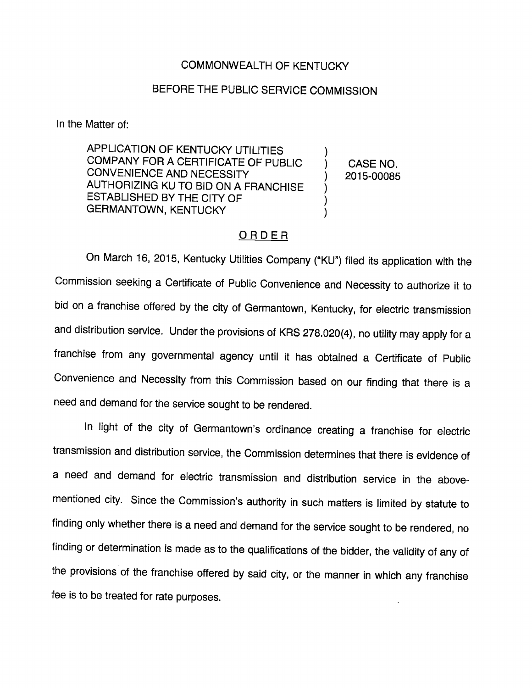## COMMONWEALTH OF KENTUCKY

## BEFORE THE PUBLIC SERVICE COMMISSION

In the Matter of:

APPLICATION OF KENTUCKY UTILITIES COMPANY FOR A CERTIFICATE OF PUBLIC CONVENIENCE AND NECESSITY AUTHORIZING KU TO BID ON A FRANCHISE ESTABLISHED BY THE CITY OF GERMANTOWN, KENTUCKY

CASE NO. 2015-00085

 $\lambda$  $\mathcal{E}$  $\mathcal{C}$  $\mathcal{Y}$  $\lambda$ 

## ORDER

On March 16, 2015, Kentucky Utilities Company ("KU") filed its application with the Commission seeking a Certificate of Public Convenience and Necessity to authorize it to bid on a franchise offered by the city of Germantown, Kentucky, for electric transmission and distribution service. Under the provisions of KRS 278.020(4), no utility may apply for a franchise from any governmental agency until it has obtained a Certificate of Public Convenience and Necessity from this Commission based on our finding that there is a need and demand for the service sought to be rendered.

In light of the city of Germantown's ordinance creating a franchise for electric transmission and distribution service, the Commission determines that there is evidence of a need and demand for electric transmission and distribution service in the abovementioned city. Since the Commission's authority in such matters is limited by statute to finding only whether there is a need and demand for the service sought to be rendered, no finding or determination is made as to the qualifications of the bidder, the validity of any of the provisions of the franchise offered by said city, or the manner in which any franchise fee is to be treated for rate purposes.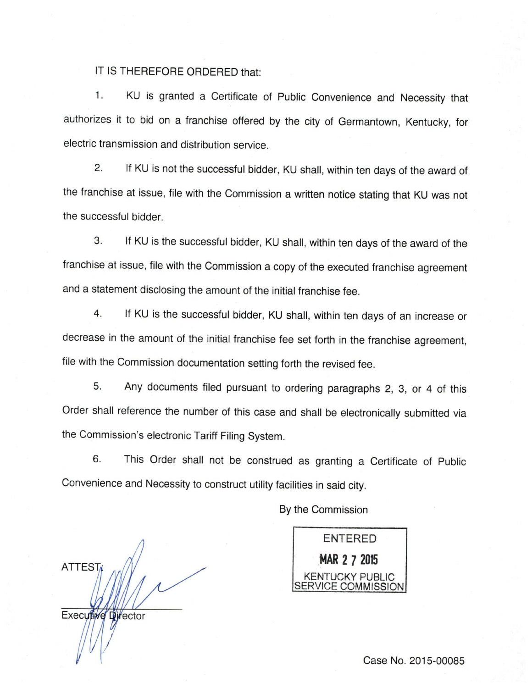## IT IS THEREFORE ORDERED that:

1. KU is granted a Certificate of Public Convenience and Necessity that authorizes it to bid on a franchise offered by the city of Germantown, Kentucky, for electric transmission and distribution service.

2. If KU is not the successful bidder, KU shall, within ten days of the award of the franchise at issue, file with the Commission a written notice stating that KU was not the successful bidder.

3. If KU is the successful bidder, KU shall, within ten days of the award of the franchise at issue, file with the Commission a copy of the executed franchise agreement and a statement disclosing the amount of the initial franchise fee.

4. If KU is the successful bidder, KU shall, within ten days of an increase or decrease in the amount of the initial franchise fee set forth in the franchise agreement, file with the Commission documentation setting forth the revised fee.

5. Any documents filed pursuant to ordering paragraphs 2, 3, or 4 of this Order shall reference the number of this case and shall be electronically submitted via the Commission's electronic Tariff Filing System.

6. This Order shall not be construed as granting a Certificate of Public Convenience and Necessity to construct utility facilities in said city.

**ATTEST** Executive Director

By the Commission

ENTERED MAR 2 7 2015 KENTUCKY PUBLIC **ISERVICE COMMISSION** 

Case No. 2015-00085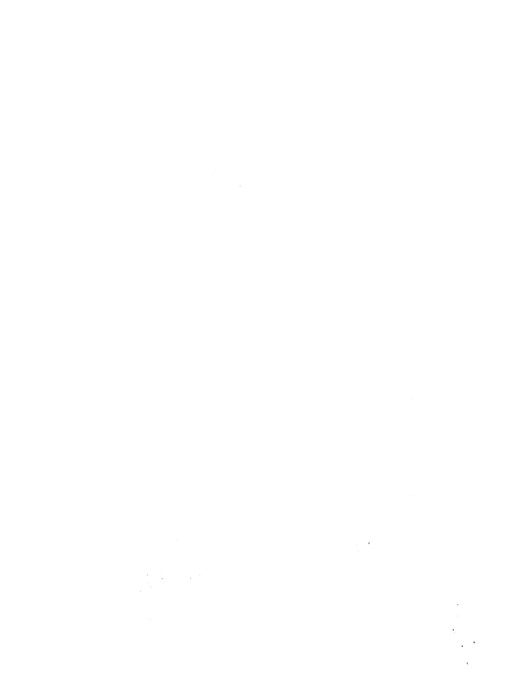$\label{eq:2.1} \frac{1}{\sqrt{2\pi}}\sum_{i=1}^n\frac{1}{\sqrt{2\pi}}\left(\frac{1}{\sqrt{2\pi}}\right)^2\frac{1}{\sqrt{2\pi}}\sum_{i=1}^n\frac{1}{\sqrt{2\pi}}\left(\frac{1}{\sqrt{2\pi}}\right)^2\frac{1}{\sqrt{2\pi}}\sum_{i=1}^n\frac{1}{\sqrt{2\pi}}\frac{1}{\sqrt{2\pi}}\frac{1}{\sqrt{2\pi}}\frac{1}{\sqrt{2\pi}}\frac{1}{\sqrt{2\pi}}\frac{1}{\sqrt{2\pi}}\frac{1}{\sqrt{2\pi}}\frac{1$ 

 $\label{eq:2.1} \frac{1}{\sqrt{2}}\left(\frac{1}{\sqrt{2}}\right)^{2} \left(\frac{1}{\sqrt{2}}\right)^{2} \left(\frac{1}{\sqrt{2}}\right)^{2} \left(\frac{1}{\sqrt{2}}\right)^{2} \left(\frac{1}{\sqrt{2}}\right)^{2} \left(\frac{1}{\sqrt{2}}\right)^{2} \left(\frac{1}{\sqrt{2}}\right)^{2} \left(\frac{1}{\sqrt{2}}\right)^{2} \left(\frac{1}{\sqrt{2}}\right)^{2} \left(\frac{1}{\sqrt{2}}\right)^{2} \left(\frac{1}{\sqrt{2}}\right)^{2} \left(\$ 

 $\Delta \sim 20$ 

 $\sim 0.1$